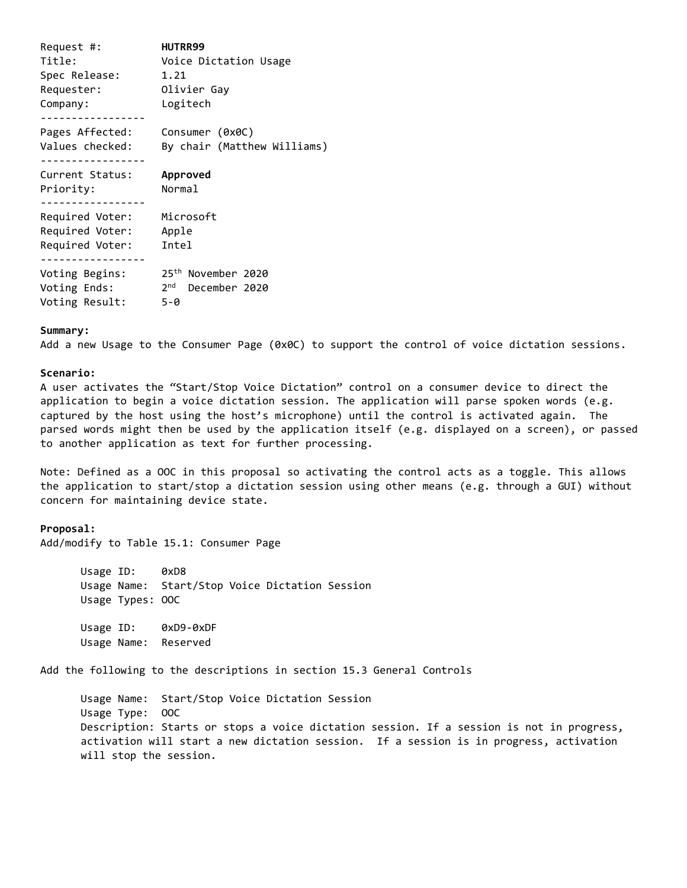| Request #:      | <b>HUTRR99</b>                 |
|-----------------|--------------------------------|
| Title:          | Voice Dictation Usage          |
| Spec Release:   | 1.21                           |
| Requester:      | Olivier Gay                    |
| Company:        | Logitech                       |
| Pages Affected: | Consumer (0x0C)                |
| Values checked: | By chair (Matthew Williams)    |
| Current Status: | Approved                       |
| Priority:       | Normal                         |
| Required Voter: | Microsoft                      |
| Required Voter: | Apple                          |
| Required Voter: | Intel                          |
| Voting Begins:  | 25 <sup>th</sup> November 2020 |
| Voting Ends:    | 2nd December 2020              |
| Voting Result:  | 5-0                            |

## **Summary:**

Add a new Usage to the Consumer Page (0x0C) to support the control of voice dictation sessions.

## **Scenario:**

A user activates the "Start/Stop Voice Dictation" control on a consumer device to direct the application to begin a voice dictation session. The application will parse spoken words (e.g. captured by the host using the host's microphone) until the control is activated again. The parsed words might then be used by the application itself (e.g. displayed on a screen), or passed to another application as text for further processing.

Note: Defined as a OOC in this proposal so activating the control acts as a toggle. This allows the application to start/stop a dictation session using other means (e.g. through a GUI) without concern for maintaining device state.

## **Proposal:**

Add/modify to Table 15.1: Consumer Page

Usage ID: 0xD8 Usage Name: Start/Stop Voice Dictation Session Usage Types: OOC

Usage ID: 0xD9-0xDF Usage Name: Reserved

Add the following to the descriptions in section 15.3 General Controls

Usage Name: Start/Stop Voice Dictation Session Usage Type: OOC Description: Starts or stops a voice dictation session. If a session is not in progress, activation will start a new dictation session. If a session is in progress, activation will stop the session.